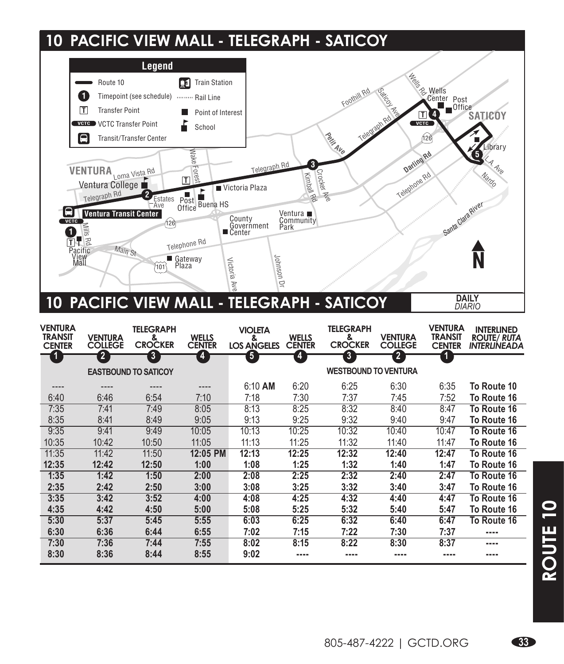## **10 PACIFIC VIEW MALL - TELEGRAPH - SATICOY**



| <b>VENTURA</b><br><b>TRANSIT</b><br><b>CENTER</b> | <b>VENTURA</b><br><b>COLLEGE</b> | <b>TELEGRAPH</b><br>&<br><b>CROCKER</b> | <b>WELLS</b><br><b>CENTER</b> | <b>VIOLETA</b><br>&<br><b>LOS ANGELES</b> | <b>WELLS</b><br><b>CENTER</b> | <b>TELEGRAPH</b><br>&<br><b>CROCKER</b> | <b>VENTURA</b><br><b>COLLEGE</b> | <b>VENTURA</b><br><b>TRANSIT</b><br><b>CENTER</b> | <b>INTERLINED</b><br><b>ROUTE/ RUTA</b><br><b>INTERLINEADA</b> |
|---------------------------------------------------|----------------------------------|-----------------------------------------|-------------------------------|-------------------------------------------|-------------------------------|-----------------------------------------|----------------------------------|---------------------------------------------------|----------------------------------------------------------------|
| $\mathbf{-4}$                                     | 2                                | $\overline{\mathbf{3}}$                 | 4                             | 5                                         | 4                             | $\overline{\mathbf{3}}$                 | $\overline{\mathbf{2}}$          | 1                                                 |                                                                |
|                                                   |                                  | <b>EASTBOUND TO SATICOY</b>             |                               |                                           |                               | <b>WESTBOUND TO VENTURA</b>             |                                  |                                                   |                                                                |
|                                                   | ----                             | $- - - -$                               |                               | 6:10 AM                                   | 6:20                          | 6:25                                    | 6:30                             | 6:35                                              | To Route 10                                                    |
| 6:40                                              | 6:46                             | 6:54                                    | 7:10                          | 7:18                                      | 7:30                          | 7:37                                    | 7:45                             | 7:52                                              | To Route 16                                                    |
| 7:35                                              | 7:41                             | 7:49                                    | 8:05                          | 8:13                                      | 8:25                          | 8:32                                    | 8:40                             | 8:47                                              | To Route 16                                                    |
| 8:35                                              | 8:41                             | 8:49                                    | 9:05                          | 9:13                                      | 9:25                          | 9:32                                    | 9:40                             | 9:47                                              | To Route 16                                                    |
| 9:35                                              | 9:41                             | 9:49                                    | 10:05                         | 10:13                                     | 10:25                         | 10:32                                   | 10:40                            | 10:47                                             | To Route 16                                                    |
| 10:35                                             | 10:42                            | 10:50                                   | 11:05                         | 11:13                                     | 11:25                         | 11:32                                   | 11:40                            | 11:47                                             | To Route 16                                                    |
| 11:35                                             | 11:42                            | 11:50                                   | 12:05 PM                      | 12:13                                     | 12:25                         | 12:32                                   | 12:40                            | 12:47                                             | To Route 16                                                    |
| 12:35                                             | 12:42                            | 12:50                                   | 1:00                          | 1:08                                      | 1:25                          | 1:32                                    | 1:40                             | 1:47                                              | To Route 16                                                    |
| 1:35                                              | 1:42                             | 1:50                                    | 2:00                          | 2:08                                      | 2:25                          | 2:32                                    | 2:40                             | 2:47                                              | To Route 16                                                    |
| 2:35                                              | 2:42                             | 2:50                                    | 3:00                          | 3:08                                      | 3:25                          | 3:32                                    | 3:40                             | 3:47                                              | To Route 16                                                    |
| 3:35                                              | 3:42                             | 3:52                                    | 4:00                          | 4:08                                      | 4:25                          | 4:32                                    | 4:40                             | 4:47                                              | To Route 16                                                    |
| 4:35                                              | 4:42                             | 4:50                                    | 5:00                          | 5:08                                      | 5:25                          | 5:32                                    | 5:40                             | 5:47                                              | To Route 16                                                    |
| 5:30                                              | 5:37                             | 5:45                                    | 5:55                          | 6:03                                      | 6:25                          | 6:32                                    | 6:40                             | 6:47                                              | To Route 16                                                    |
| 6:30                                              | 6:36                             | 6:44                                    | 6:55                          | 7:02                                      | 7:15                          | 7:22                                    | 7:30                             | 7:37                                              | ----                                                           |
| 7:30                                              | 7:36                             | 7:44                                    | 7:55                          | 8:02                                      | 8:15                          | 8:22                                    | 8:30                             | 8:37                                              | ----                                                           |
| 8:30                                              | 8:36                             | 8:44                                    | 8:55                          | 9:02                                      | ----                          | ----                                    | ----                             |                                                   | ----                                                           |